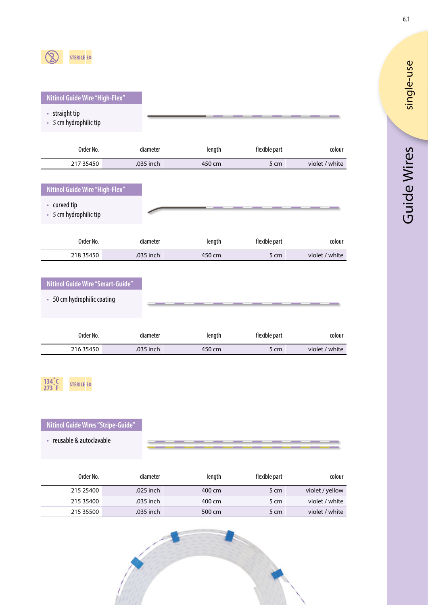

### **Nitinol Guide Wire "High-Flex"**

- straight tip
- 5 cm hydrophilic tip

| Order No.                                                                | diameter              | length           | flexible part         | colour                   |
|--------------------------------------------------------------------------|-----------------------|------------------|-----------------------|--------------------------|
| 217 35450                                                                | .035 inch             | 450 cm           | 5 cm                  | violet / white           |
| Nitinol Guide Wire "High-Flex"<br>• curved tip<br>• 5 cm hydrophilic tip |                       |                  |                       |                          |
| Order No.<br>218 35450                                                   | diameter<br>.035 inch | length<br>450 cm | flexible part<br>5 cm | colour<br>violet / white |
|                                                                          |                       |                  |                       |                          |

## **Nitinol Guide Wire "Smart-Guide"**

• 50 cm hydrophilic coating

| Order No. | diameter  | length | flexible part | colour         |
|-----------|-----------|--------|---------------|----------------|
| 216 35450 | .035 inch | 450 cm | 5 cm          | violet / white |



### **Nitinol Guide Wires "Stripe-Guide"**

• reusable & autoclavable

|  |  |  |  | ___________ |  |  |  |
|--|--|--|--|-------------|--|--|--|
|  |  |  |  |             |  |  |  |

| Order No. | diameter  | length | flexible part | colour          |
|-----------|-----------|--------|---------------|-----------------|
| 215 25400 | .025 inch | 400 cm | 5 cm          | violet / yellow |
| 215 35400 | .035 inch | 400 cm | 5 cm          | violet / white  |
| 215 35500 | .035 inch | 500 cm | 5 cm          | violet / white  |